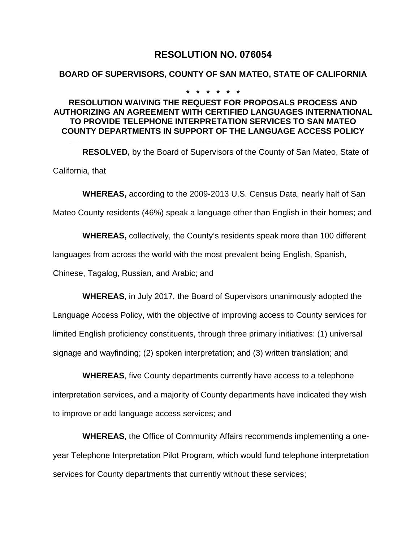# **RESOLUTION NO. 076054**

#### **BOARD OF SUPERVISORS, COUNTY OF SAN MATEO, STATE OF CALIFORNIA**

**\* \* \* \* \* \***

## **RESOLUTION WAIVING THE REQUEST FOR PROPOSALS PROCESS AND AUTHORIZING AN AGREEMENT WITH CERTIFIED LANGUAGES INTERNATIONAL TO PROVIDE TELEPHONE INTERPRETATION SERVICES TO SAN MATEO COUNTY DEPARTMENTS IN SUPPORT OF THE LANGUAGE ACCESS POLICY**

**RESOLVED,** by the Board of Supervisors of the County of San Mateo, State of California, that

**\_\_\_\_\_\_\_\_\_\_\_\_\_\_\_\_\_\_\_\_\_\_\_\_\_\_\_\_\_\_\_\_\_\_\_\_\_\_\_\_\_\_\_\_\_\_\_\_\_\_\_\_\_\_\_\_\_\_\_\_\_\_**

**WHEREAS,** according to the 2009-2013 U.S. Census Data, nearly half of San Mateo County residents (46%) speak a language other than English in their homes; and

**WHEREAS,** collectively, the County's residents speak more than 100 different languages from across the world with the most prevalent being English, Spanish, Chinese, Tagalog, Russian, and Arabic; and

**WHEREAS**, in July 2017, the Board of Supervisors unanimously adopted the Language Access Policy, with the objective of improving access to County services for limited English proficiency constituents, through three primary initiatives: (1) universal signage and wayfinding; (2) spoken interpretation; and (3) written translation; and

**WHEREAS**, five County departments currently have access to a telephone interpretation services, and a majority of County departments have indicated they wish to improve or add language access services; and

**WHEREAS**, the Office of Community Affairs recommends implementing a oneyear Telephone Interpretation Pilot Program, which would fund telephone interpretation services for County departments that currently without these services;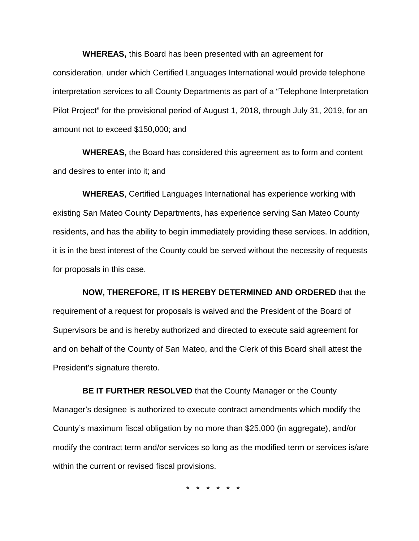**WHEREAS,** this Board has been presented with an agreement for consideration, under which Certified Languages International would provide telephone interpretation services to all County Departments as part of a "Telephone Interpretation Pilot Project" for the provisional period of August 1, 2018, through July 31, 2019, for an amount not to exceed \$150,000; and

**WHEREAS,** the Board has considered this agreement as to form and content and desires to enter into it; and

**WHEREAS**, Certified Languages International has experience working with existing San Mateo County Departments, has experience serving San Mateo County residents, and has the ability to begin immediately providing these services. In addition, it is in the best interest of the County could be served without the necessity of requests for proposals in this case.

**NOW, THEREFORE, IT IS HEREBY DETERMINED AND ORDERED** that the requirement of a request for proposals is waived and the President of the Board of Supervisors be and is hereby authorized and directed to execute said agreement for and on behalf of the County of San Mateo, and the Clerk of this Board shall attest the President's signature thereto.

**BE IT FURTHER RESOLVED** that the County Manager or the County Manager's designee is authorized to execute contract amendments which modify the County's maximum fiscal obligation by no more than \$25,000 (in aggregate), and/or modify the contract term and/or services so long as the modified term or services is/are within the current or revised fiscal provisions.

\* \* \* \* \* \*